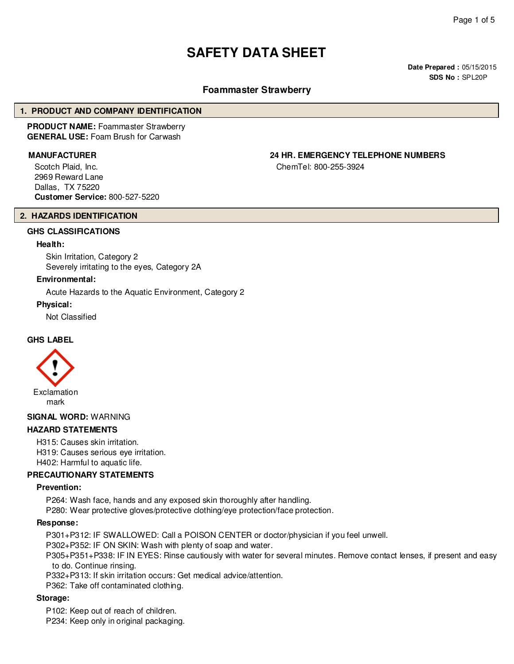# **SAFETY DATA SHEET**

**Date Prepared :** 05/15/2015 **SDS No :** SPL20P

# **Foammaster Strawberry**

#### **1. PRODUCT AND COMPANY IDENTIFICATION**

**PRODUCT NAME:** Foammaster Strawberry **GENERAL USE:** Foam Brush for Carwash

Scotch Plaid, Inc. 2969 Reward Lane Dallas, TX 75220 **Customer Service:** 800-527-5220

# **MANUFACTURER 24 HR. EMERGENCY TELEPHONE NUMBERS**

ChemTel: 800-255-3924

#### **2. HAZARDS IDENTIFICATION**

# **GHS CLASSIFICATIONS**

#### **Health:**

Skin Irritation, Category 2 Severely irritating to the eyes, Category 2A

#### **Environmental:**

Acute Hazards to the Aquatic Environment, Category 2

#### **Physical:**

Not Classified

#### **GHS LABEL**



#### **SIGNAL WORD:** WARNING

#### **HAZARD STATEMENTS**

H315: Causes skin irritation. H319: Causes serious eye irritation. H402: Harmful to aquatic life.

### **PRECAUTIONARY STATEMENTS**

#### **Prevention:**

P264: Wash face, hands and any exposed skin thoroughly after handling.

P280: Wear protective gloves/protective clothing/eye protection/face protection.

#### **Response:**

P301+P312: IF SWALLOWED: Call a POISON CENTER or doctor/physician if you feel unwell.

P302+P352: IF ON SKIN: Wash with plenty of soap and water.

P305+P351+P338: IF IN EYES: Rinse cautiously with water for several minutes. Remove contact lenses, if present and easy to do. Continue rinsing.

P332+P313: If skin irritation occurs: Get medical advice/attention.

P362: Take off contaminated clothing.

#### **Storage:**

P102: Keep out of reach of children.

P234: Keep only in original packaging.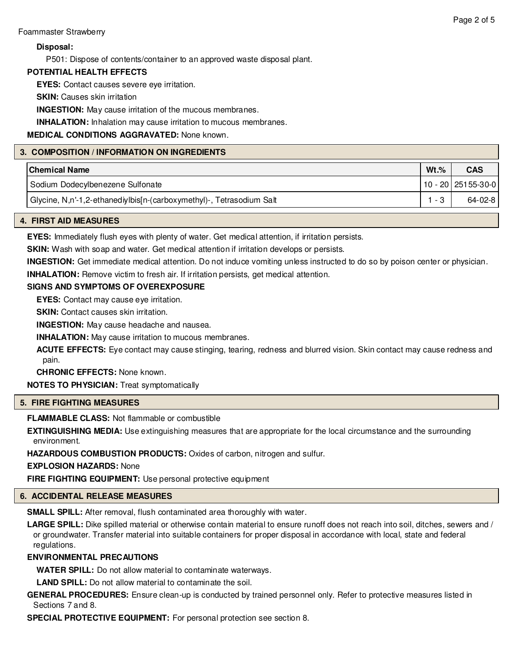# **Disposal:**

P501: Dispose of contents/container to an approved waste disposal plant.

# **POTENTIAL HEALTH EFFECTS**

**EYES:** Contact causes severe eye irritation.

**SKIN:** Causes skin irritation

**INGESTION:** May cause irritation of the mucous membranes.

**INHALATION:** Inhalation may cause irritation to mucous membranes.

**MEDICAL CONDITIONS AGGRAVATED:** None known.

# **3. COMPOSITION / INFORMATION ON INGREDIENTS**

| <b>Chemical Name</b>                                                 | $Wt.$ % | <b>CAS</b>           |
|----------------------------------------------------------------------|---------|----------------------|
| Sodium Dodecylbenezene Sulfonate                                     |         | 10 - 20   25155-30-0 |
| Glycine, N,n'-1,2-ethanediylbis[n-(carboxymethyl)-, Tetrasodium Salt | - 3     | $64 - 02 - 8$        |

# **4. FIRST AID MEASURES**

**EYES:** Immediately flush eyes with plenty of water. Get medical attention, if irritation persists.

**SKIN:** Wash with soap and water. Get medical attention if irritation develops or persists.

**INGESTION:** Get immediate medical attention. Do not induce vomiting unless instructed to do so by poison center or physician.

**INHALATION:** Remove victim to fresh air. If irritation persists, get medical attention.

# **SIGNS AND SYMPTOMS OF OVEREXPOSURE**

**EYES:** Contact may cause eye irritation.

**SKIN:** Contact causes skin irritation.

**INGESTION:** May cause headache and nausea.

**INHALATION:** May cause irritation to mucous membranes.

**ACUTE EFFECTS:** Eye contact may cause stinging, tearing, redness and blurred vision. Skin contact may cause redness and pain.

**CHRONIC EFFECTS:** None known.

**NOTES TO PHYSICIAN:** Treat symptomatically

# **5. FIRE FIGHTING MEASURES**

**FLAMMABLE CLASS:** Not flammable or combustible

**EXTINGUISHING MEDIA:** Use extinguishing measures that are appropriate for the local circumstance and the surrounding environment.

**HAZARDOUS COMBUSTION PRODUCTS:** Oxides of carbon, nitrogen and sulfur.

**EXPLOSION HAZARDS:** None

**FIRE FIGHTING EQUIPMENT:** Use personal protective equipment

# **6. ACCIDENTAL RELEASE MEASURES**

**SMALL SPILL:** After removal, flush contaminated area thoroughly with water.

**LARGE SPILL:** Dike spilled material or otherwise contain material to ensure runoff does not reach into soil, ditches, sewers and / or groundwater. Transfer material into suitable containers for proper disposal in accordance with local, state and federal regulations.

# **ENVIRONMENTAL PRECAUTIONS**

**WATER SPILL:** Do not allow material to contaminate waterways.

**LAND SPILL:** Do not allow material to contaminate the soil.

**GENERAL PROCEDURES:** Ensure clean-up is conducted by trained personnel only. Refer to protective measures listed in Sections 7 and 8.

**SPECIAL PROTECTIVE EQUIPMENT:** For personal protection see section 8.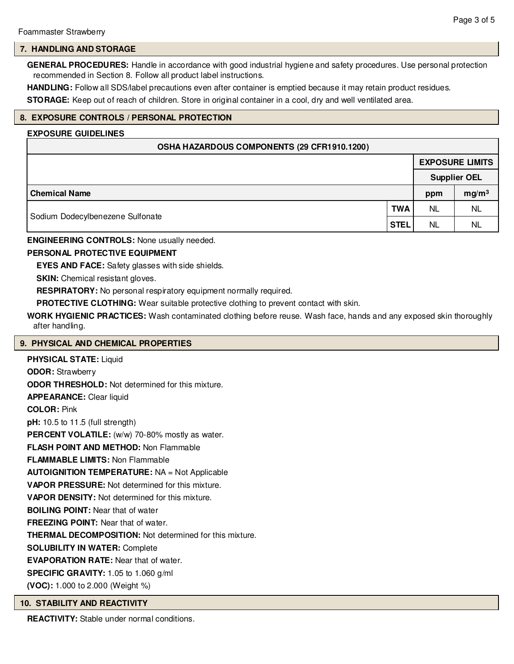#### **7. HANDLING AND STORAGE**

**GENERAL PROCEDURES:** Handle in accordance with good industrial hygiene and safety procedures. Use personal protection recommended in Section 8. Follow all product label instructions.

**HANDLING:** Follow all SDS/label precautions even after container is emptied because it may retain product residues.

**STORAGE:** Keep out of reach of children. Store in original container in a cool, dry and well ventilated area.

#### **8. EXPOSURE CONTROLS / PERSONAL PROTECTION**

#### **EXPOSURE GUIDELINES**

| OSHA HAZARDOUS COMPONENTS (29 CFR1910.1200)                   |  |                        |                   |  |  |  |
|---------------------------------------------------------------|--|------------------------|-------------------|--|--|--|
|                                                               |  | <b>EXPOSURE LIMITS</b> |                   |  |  |  |
|                                                               |  | <b>Supplier OEL</b>    |                   |  |  |  |
| <b>Chemical Name</b>                                          |  | ppm                    | mg/m <sup>3</sup> |  |  |  |
| <b>TWA</b><br>Sodium Dodecylbenezene Sulfonate<br><b>STEL</b> |  | NL                     | NL                |  |  |  |
|                                                               |  | <b>NL</b>              | <b>NL</b>         |  |  |  |

#### **ENGINEERING CONTROLS:** None usually needed.

### **PERSONAL PROTECTIVE EQUIPMENT**

**EYES AND FACE:** Safety glasses with side shields.

**SKIN:** Chemical resistant gloves.

**RESPIRATORY:** No personal respiratory equipment normally required.

**PROTECTIVE CLOTHING:** Wear suitable protective clothing to prevent contact with skin.

**WORK HYGIENIC PRACTICES:** Wash contaminated clothing before reuse. Wash face, hands and any exposed skin thoroughly after handling.

#### **9. PHYSICAL AND CHEMICAL PROPERTIES**

**PHYSICAL STATE:** Liquid **ODOR:** Strawberry **ODOR THRESHOLD:** Not determined for this mixture. **APPEARANCE:** Clear liquid **COLOR:** Pink **pH:** 10.5 to 11.5 (full strength) PERCENT VOLATILE: (w/w) 70-80% mostly as water. **FLASH POINT AND METHOD:** Non Flammable **FLAMMABLE LIMITS:** Non Flammable **AUTOIGNITION TEMPERATURE:** NA = Not Applicable **VAPOR PRESSURE:** Not determined for this mixture. **VAPOR DENSITY:** Not determined for this mixture. **BOILING POINT:** Near that of water **FREEZING POINT:** Near that of water. **THERMAL DECOMPOSITION:** Not determined for this mixture. **SOLUBILITY IN WATER:** Complete **EVAPORATION RATE:** Near that of water. **SPECIFIC GRAVITY:** 1.05 to 1.060 g/ml **(VOC):** 1.000 to 2.000 (Weight %)

#### **10. STABILITY AND REACTIVITY**

**REACTIVITY:** Stable under normal conditions.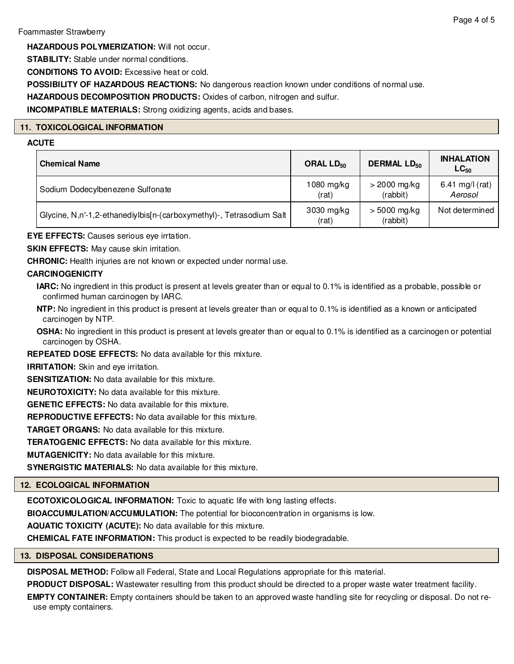# Foammaster Strawberry

**HAZARDOUS POLYMERIZATION:** Will not occur.

**STABILITY:** Stable under normal conditions.

**CONDITIONS TO AVOID:** Excessive heat or cold.

**POSSIBILITY OF HAZARDOUS REACTIONS:** No dangerous reaction known under conditions of normal use.

**HAZARDOUS DECOMPOSITION PRODUCTS:** Oxides of carbon, nitrogen and sulfur.

**INCOMPATIBLE MATERIALS:** Strong oxidizing agents, acids and bases.

# **11. TOXICOLOGICAL INFORMATION**

# **ACUTE**

| <b>Chemical Name</b>                                                 | ORAL LD <sub>50</sub> | <b>DERMAL LD<sub>50</sub></b> | <b>INHALATION</b><br>$LC_{50}$ |
|----------------------------------------------------------------------|-----------------------|-------------------------------|--------------------------------|
| Sodium Dodecylbenezene Sulfonate                                     | 1080 mg/kg<br>(rat)   | $>$ 2000 mg/kg<br>(rabbit)    | 6.41 mg/l (rat)<br>Aerosol     |
| Glycine, N,n'-1,2-ethanediylbis[n-(carboxymethyl)-, Tetrasodium Salt | 3030 mg/kg<br>(rat)   | $> 5000$ mg/kg<br>(rabbit)    | Not determined                 |

**EYE EFFECTS:** Causes serious eye irrtation.

**SKIN EFFECTS:** May cause skin irritation.

**CHRONIC:** Health injuries are not known or expected under normal use.

# **CARCINOGENICITY**

**IARC:** No ingredient in this product is present at levels greater than or equal to 0.1% is identified as a probable, possible or confirmed human carcinogen by IARC.

**NTP:** No ingredient in this product is present at levels greater than or equal to 0.1% is identified as a known or anticipated carcinogen by NTP.

**OSHA:** No ingredient in this product is present at levels greater than or equal to 0.1% is identified as a carcinogen or potential carcinogen by OSHA.

**REPEATED DOSE EFFECTS:** No data available for this mixture.

**IRRITATION:** Skin and eye irritation.

**SENSITIZATION:** No data available for this mixture.

**NEUROTOXICITY:** No data available for this mixture.

**GENETIC EFFECTS:** No data available for this mixture.

**REPRODUCTIVE EFFECTS:** No data available for this mixture.

**TARGET ORGANS:** No data available for this mixture.

**TERATOGENIC EFFECTS:** No data available for this mixture.

**MUTAGENICITY:** No data available for this mixture.

**SYNERGISTIC MATERIALS:** No data available for this mixture.

# **12. ECOLOGICAL INFORMATION**

**ECOTOXICOLOGICAL INFORMATION:** Toxic to aquatic life with long lasting effects.

**BIOACCUMULATION/ACCUMULATION:** The potential for bioconcentration in organisms is low.

**AQUATIC TOXICITY (ACUTE):** No data available for this mixture.

**CHEMICAL FATE INFORMATION:** This product is expected to be readily biodegradable.

# **13. DISPOSAL CONSIDERATIONS**

**DISPOSAL METHOD:** Follow all Federal, State and Local Regulations appropriate for this material.

**PRODUCT DISPOSAL:** Wastewater resulting from this product should be directed to a proper waste water treatment facility.

**EMPTY CONTAINER:** Empty containers should be taken to an approved waste handling site for recycling or disposal. Do not reuse empty containers.